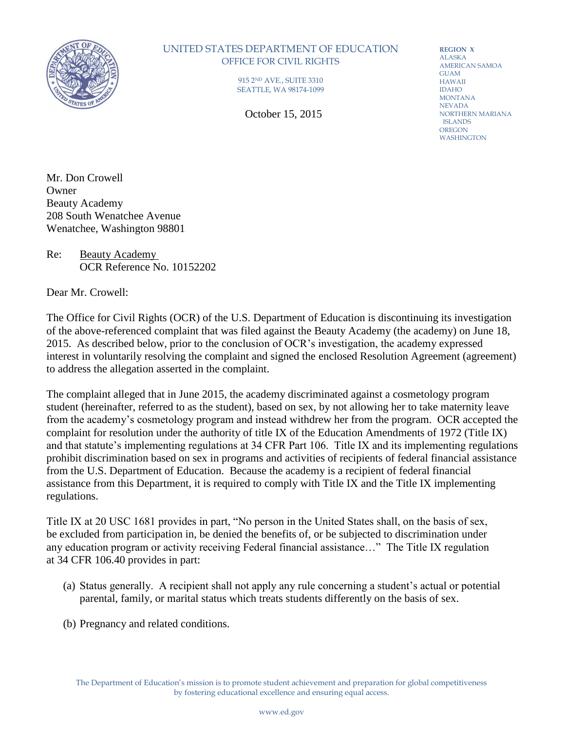

## UNITED STATES DEPARTMENT OF EDUCATION OFFICE FOR CIVIL RIGHTS

915 2ND AVE., SUITE 3310 SEATTLE, WA 98174-1099

October 15, 2015

**REGION X** ALASKA AMERICAN SAMOA GUAM HAWAII IDAHO MONTANA NEVADA NORTHERN MARIANA ISLANDS OREGON WASHINGTON

Mr. Don Crowell Owner Beauty Academy 208 South Wenatchee Avenue Wenatchee, Washington 98801

Re: Beauty Academy OCR Reference No. 10152202

Dear Mr. Crowell:

The Office for Civil Rights (OCR) of the U.S. Department of Education is discontinuing its investigation of the above-referenced complaint that was filed against the Beauty Academy (the academy) on June 18, 2015. As described below, prior to the conclusion of OCR's investigation, the academy expressed interest in voluntarily resolving the complaint and signed the enclosed Resolution Agreement (agreement) to address the allegation asserted in the complaint.

The complaint alleged that in June 2015, the academy discriminated against a cosmetology program student (hereinafter, referred to as the student), based on sex, by not allowing her to take maternity leave from the academy's cosmetology program and instead withdrew her from the program. OCR accepted the complaint for resolution under the authority of title IX of the Education Amendments of 1972 (Title IX) and that statute's implementing regulations at 34 CFR Part 106. Title IX and its implementing regulations prohibit discrimination based on sex in programs and activities of recipients of federal financial assistance from the U.S. Department of Education. Because the academy is a recipient of federal financial assistance from this Department, it is required to comply with Title IX and the Title IX implementing regulations.

Title IX at 20 USC 1681 provides in part, "No person in the United States shall, on the basis of sex, be excluded from participation in, be denied the benefits of, or be subjected to discrimination under any education program or activity receiving Federal financial assistance…" The Title IX regulation at 34 CFR 106.40 provides in part:

- (a) Status generally. A recipient shall not apply any rule concerning a student's actual or potential parental, family, or marital status which treats students differently on the basis of sex.
- (b) Pregnancy and related conditions.

The Department of Education's mission is to promote student achievement and preparation for global competitiveness by fostering educational excellence and ensuring equal access.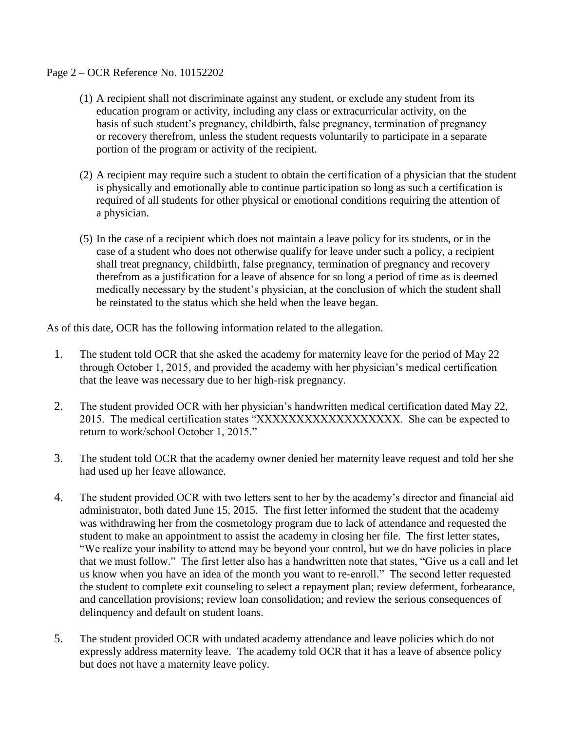## Page 2 – OCR Reference No. 10152202

- (1) A recipient shall not discriminate against any student, or exclude any student from its education program or activity, including any class or extracurricular activity, on the basis of such student's pregnancy, childbirth, false pregnancy, termination of pregnancy or recovery therefrom, unless the student requests voluntarily to participate in a separate portion of the program or activity of the recipient.
- (2) A recipient may require such a student to obtain the certification of a physician that the student is physically and emotionally able to continue participation so long as such a certification is required of all students for other physical or emotional conditions requiring the attention of a physician.
- (5) In the case of a recipient which does not maintain a leave policy for its students, or in the case of a student who does not otherwise qualify for leave under such a policy, a recipient shall treat pregnancy, childbirth, false pregnancy, termination of pregnancy and recovery therefrom as a justification for a leave of absence for so long a period of time as is deemed medically necessary by the student's physician, at the conclusion of which the student shall be reinstated to the status which she held when the leave began.

As of this date, OCR has the following information related to the allegation.

- 1. The student told OCR that she asked the academy for maternity leave for the period of May 22 through October 1, 2015, and provided the academy with her physician's medical certification that the leave was necessary due to her high-risk pregnancy.
- 2. The student provided OCR with her physician's handwritten medical certification dated May 22, 2015. The medical certification states "XXXXXXXXXXXXXXXXXX. She can be expected to return to work/school October 1, 2015."
- 3. The student told OCR that the academy owner denied her maternity leave request and told her she had used up her leave allowance.
- 4. The student provided OCR with two letters sent to her by the academy's director and financial aid administrator, both dated June 15, 2015. The first letter informed the student that the academy was withdrawing her from the cosmetology program due to lack of attendance and requested the student to make an appointment to assist the academy in closing her file. The first letter states, "We realize your inability to attend may be beyond your control, but we do have policies in place that we must follow." The first letter also has a handwritten note that states, "Give us a call and let us know when you have an idea of the month you want to re-enroll." The second letter requested the student to complete exit counseling to select a repayment plan; review deferment, forbearance, and cancellation provisions; review loan consolidation; and review the serious consequences of delinquency and default on student loans.
- 5. The student provided OCR with undated academy attendance and leave policies which do not expressly address maternity leave. The academy told OCR that it has a leave of absence policy but does not have a maternity leave policy.